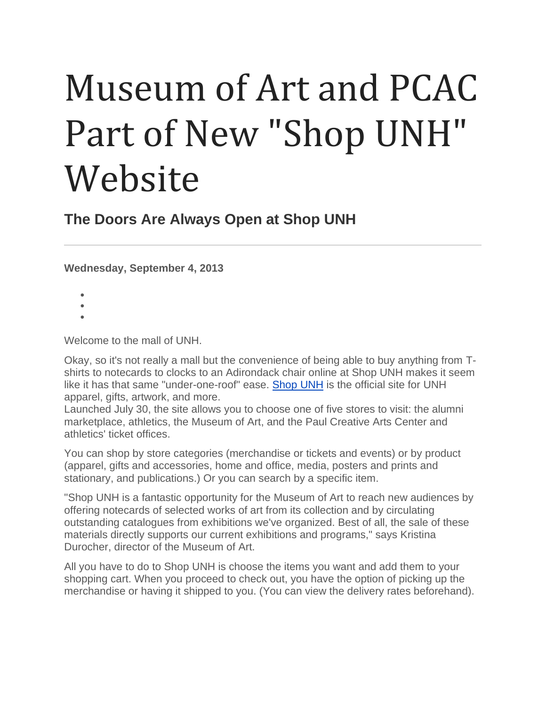## Museum of Art and PCAC Part of New "Shop UNH" Website

**The Doors Are Always Open at Shop UNH**

**Wednesday, September 4, 2013**

- •
- •
- •

Welcome to the mall of UNH.

Okay, so it's not really a mall but the convenience of being able to buy anything from Tshirts to notecards to clocks to an Adirondack chair online at Shop UNH makes it seem like it has that same "under-one-roof" ease. [Shop](https://secure.touchnet.net/C21681_ustores/web/index.jsp) UNH is the official site for UNH apparel, gifts, artwork, and more.

Launched July 30, the site allows you to choose one of five stores to visit: the alumni marketplace, athletics, the Museum of Art, and the Paul Creative Arts Center and athletics' ticket offices.

You can shop by store categories (merchandise or tickets and events) or by product (apparel, gifts and accessories, home and office, media, posters and prints and stationary, and publications.) Or you can search by a specific item.

"Shop UNH is a fantastic opportunity for the Museum of Art to reach new audiences by offering notecards of selected works of art from its collection and by circulating outstanding catalogues from exhibitions we've organized. Best of all, the sale of these materials directly supports our current exhibitions and programs," says Kristina Durocher, director of the Museum of Art.

All you have to do to Shop UNH is choose the items you want and add them to your shopping cart. When you proceed to check out, you have the option of picking up the merchandise or having it shipped to you. (You can view the delivery rates beforehand).